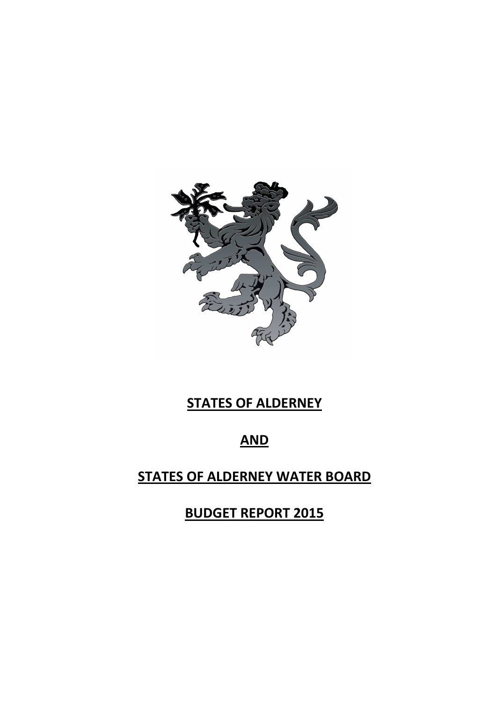

# **STATES OF ALDERNEY**

# **AND**

# **STATES OF ALDERNEY WATER BOARD**

**BUDGET REPORT 2015**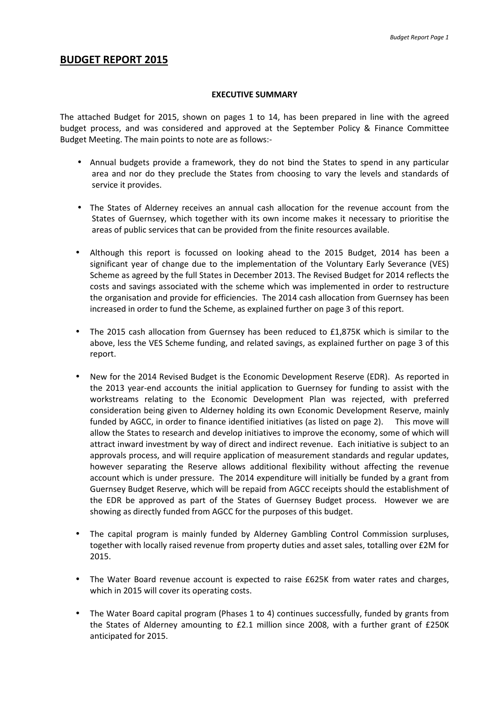### **BUDGET REPORT 2015**

#### **EXECUTIVE SUMMARY**

The attached Budget for 2015, shown on pages 1 to 14, has been prepared in line with the agreed budget process, and was considered and approved at the September Policy & Finance Committee Budget Meeting. The main points to note are as follows:-

- Annual budgets provide a framework, they do not bind the States to spend in any particular area and nor do they preclude the States from choosing to vary the levels and standards of service it provides.
- The States of Alderney receives an annual cash allocation for the revenue account from the States of Guernsey, which together with its own income makes it necessary to prioritise the areas of public services that can be provided from the finite resources available.
- Although this report is focussed on looking ahead to the 2015 Budget, 2014 has been a significant year of change due to the implementation of the Voluntary Early Severance (VES) Scheme as agreed by the full States in December 2013. The Revised Budget for 2014 reflects the costs and savings associated with the scheme which was implemented in order to restructure the organisation and provide for efficiencies. The 2014 cash allocation from Guernsey has been increased in order to fund the Scheme, as explained further on page 3 of this report.
- The 2015 cash allocation from Guernsey has been reduced to £1,875K which is similar to the above, less the VES Scheme funding, and related savings, as explained further on page 3 of this report.
- New for the 2014 Revised Budget is the Economic Development Reserve (EDR). As reported in the 2013 year-end accounts the initial application to Guernsey for funding to assist with the workstreams relating to the Economic Development Plan was rejected, with preferred consideration being given to Alderney holding its own Economic Development Reserve, mainly funded by AGCC, in order to finance identified initiatives (as listed on page 2). This move will allow the States to research and develop initiatives to improve the economy, some of which will attract inward investment by way of direct and indirect revenue. Each initiative is subject to an approvals process, and will require application of measurement standards and regular updates, however separating the Reserve allows additional flexibility without affecting the revenue account which is under pressure. The 2014 expenditure will initially be funded by a grant from Guernsey Budget Reserve, which will be repaid from AGCC receipts should the establishment of the EDR be approved as part of the States of Guernsey Budget process. However we are showing as directly funded from AGCC for the purposes of this budget.
- The capital program is mainly funded by Alderney Gambling Control Commission surpluses, together with locally raised revenue from property duties and asset sales, totalling over £2M for 2015.
- The Water Board revenue account is expected to raise £625K from water rates and charges, which in 2015 will cover its operating costs.
- The Water Board capital program (Phases 1 to 4) continues successfully, funded by grants from the States of Alderney amounting to £2.1 million since 2008, with a further grant of £250K anticipated for 2015.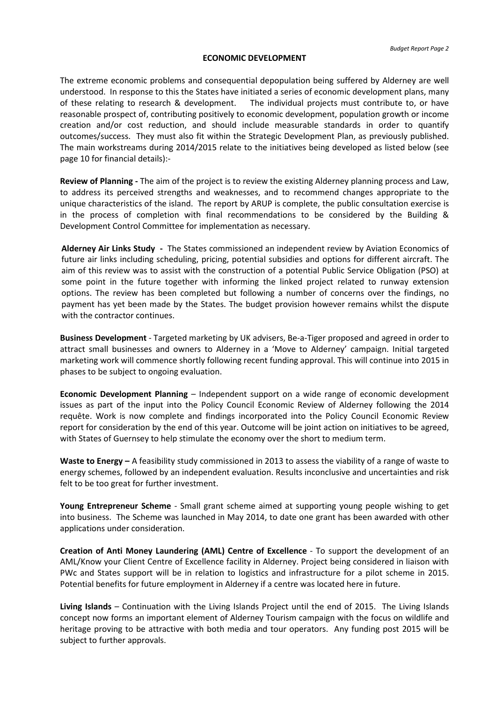#### **ECONOMIC DEVELOPMENT**

The extreme economic problems and consequential depopulation being suffered by Alderney are well understood. In response to this the States have initiated a series of economic development plans, many of these relating to research & development. The individual projects must contribute to, or have reasonable prospect of, contributing positively to economic development, population growth or income creation and/or cost reduction, and should include measurable standards in order to quantify outcomes/success. They must also fit within the Strategic Development Plan, as previously published. The main workstreams during 2014/2015 relate to the initiatives being developed as listed below (see page 10 for financial details):-

**Review of Planning -** The aim of the project is to review the existing Alderney planning process and Law, to address its perceived strengths and weaknesses, and to recommend changes appropriate to the unique characteristics of the island. The report by ARUP is complete, the public consultation exercise is in the process of completion with final recommendations to be considered by the Building & Development Control Committee for implementation as necessary.

**Alderney Air Links Study -** The States commissioned an independent review by Aviation Economics of future air links including scheduling, pricing, potential subsidies and options for different aircraft. The aim of this review was to assist with the construction of a potential Public Service Obligation (PSO) at some point in the future together with informing the linked project related to runway extension options. The review has been completed but following a number of concerns over the findings, no payment has yet been made by the States. The budget provision however remains whilst the dispute with the contractor continues.

**Business Development** - Targeted marketing by UK advisers, Be-a-Tiger proposed and agreed in order to attract small businesses and owners to Alderney in a 'Move to Alderney' campaign. Initial targeted marketing work will commence shortly following recent funding approval. This will continue into 2015 in phases to be subject to ongoing evaluation.

**Economic Development Planning** – Independent support on a wide range of economic development issues as part of the input into the Policy Council Economic Review of Alderney following the 2014 requête. Work is now complete and findings incorporated into the Policy Council Economic Review report for consideration by the end of this year. Outcome will be joint action on initiatives to be agreed, with States of Guernsey to help stimulate the economy over the short to medium term.

**Waste to Energy –** A feasibility study commissioned in 2013 to assess the viability of a range of waste to energy schemes, followed by an independent evaluation. Results inconclusive and uncertainties and risk felt to be too great for further investment.

**Young Entrepreneur Scheme** - Small grant scheme aimed at supporting young people wishing to get into business. The Scheme was launched in May 2014, to date one grant has been awarded with other applications under consideration.

**Creation of Anti Money Laundering (AML) Centre of Excellence** - To support the development of an AML/Know your Client Centre of Excellence facility in Alderney. Project being considered in liaison with PWc and States support will be in relation to logistics and infrastructure for a pilot scheme in 2015. Potential benefits for future employment in Alderney if a centre was located here in future.

**Living Islands** – Continuation with the Living Islands Project until the end of 2015. The Living Islands concept now forms an important element of Alderney Tourism campaign with the focus on wildlife and heritage proving to be attractive with both media and tour operators. Any funding post 2015 will be subject to further approvals.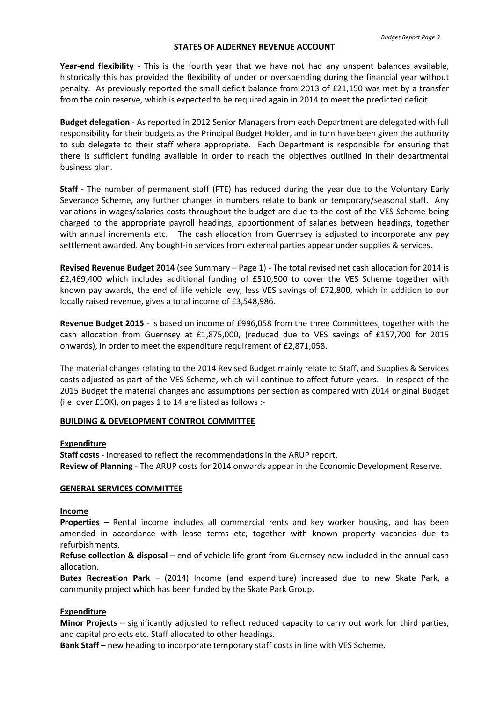#### **STATES OF ALDERNEY REVENUE ACCOUNT**

**Year-end flexibility** - This is the fourth year that we have not had any unspent balances available, historically this has provided the flexibility of under or overspending during the financial year without penalty. As previously reported the small deficit balance from 2013 of £21,150 was met by a transfer from the coin reserve, which is expected to be required again in 2014 to meet the predicted deficit.

**Budget delegation** - As reported in 2012 Senior Managers from each Department are delegated with full responsibility for their budgets as the Principal Budget Holder, and in turn have been given the authority to sub delegate to their staff where appropriate. Each Department is responsible for ensuring that there is sufficient funding available in order to reach the objectives outlined in their departmental business plan.

**Staff -** The number of permanent staff (FTE) has reduced during the year due to the Voluntary Early Severance Scheme, any further changes in numbers relate to bank or temporary/seasonal staff. Any variations in wages/salaries costs throughout the budget are due to the cost of the VES Scheme being charged to the appropriate payroll headings, apportionment of salaries between headings, together with annual increments etc. The cash allocation from Guernsey is adjusted to incorporate any pay settlement awarded. Any bought-in services from external parties appear under supplies & services.

**Revised Revenue Budget 2014** (see Summary – Page 1) - The total revised net cash allocation for 2014 is £2,469,400 which includes additional funding of £510,500 to cover the VES Scheme together with known pay awards, the end of life vehicle levy, less VES savings of £72,800, which in addition to our locally raised revenue, gives a total income of £3,548,986.

**Revenue Budget 2015** - is based on income of £996,058 from the three Committees, together with the cash allocation from Guernsey at £1,875,000, (reduced due to VES savings of £157,700 for 2015 onwards), in order to meet the expenditure requirement of £2,871,058.

The material changes relating to the 2014 Revised Budget mainly relate to Staff, and Supplies & Services costs adjusted as part of the VES Scheme, which will continue to affect future years. In respect of the 2015 Budget the material changes and assumptions per section as compared with 2014 original Budget (i.e. over £10K), on pages 1 to 14 are listed as follows :-

#### **BUILDING & DEVELOPMENT CONTROL COMMITTEE**

#### **Expenditure**

**Staff costs** - increased to reflect the recommendations in the ARUP report. **Review of Planning** - The ARUP costs for 2014 onwards appear in the Economic Development Reserve.

#### **GENERAL SERVICES COMMITTEE**

#### **Income**

**Properties** – Rental income includes all commercial rents and key worker housing, and has been amended in accordance with lease terms etc, together with known property vacancies due to refurbishments.

**Refuse collection & disposal –** end of vehicle life grant from Guernsey now included in the annual cash allocation.

**Butes Recreation Park** – (2014) Income (and expenditure) increased due to new Skate Park, a community project which has been funded by the Skate Park Group.

#### **Expenditure**

**Minor Projects** – significantly adjusted to reflect reduced capacity to carry out work for third parties, and capital projects etc. Staff allocated to other headings.

**Bank Staff** – new heading to incorporate temporary staff costs in line with VES Scheme.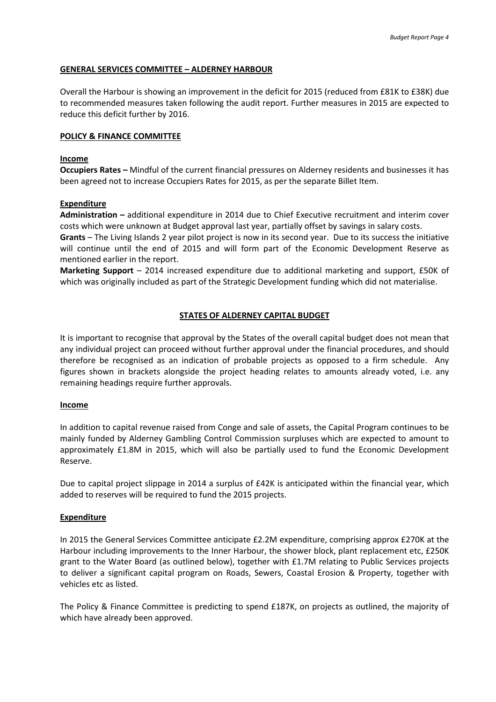#### **GENERAL SERVICES COMMITTEE – ALDERNEY HARBOUR**

Overall the Harbour is showing an improvement in the deficit for 2015 (reduced from £81K to £38K) due to recommended measures taken following the audit report. Further measures in 2015 are expected to reduce this deficit further by 2016.

#### **POLICY & FINANCE COMMITTEE**

#### **Income**

**Occupiers Rates –** Mindful of the current financial pressures on Alderney residents and businesses it has been agreed not to increase Occupiers Rates for 2015, as per the separate Billet Item.

#### **Expenditure**

**Administration –** additional expenditure in 2014 due to Chief Executive recruitment and interim cover costs which were unknown at Budget approval last year, partially offset by savings in salary costs.

**Grants** – The Living Islands 2 year pilot project is now in its second year. Due to its success the initiative will continue until the end of 2015 and will form part of the Economic Development Reserve as mentioned earlier in the report.

**Marketing Support** – 2014 increased expenditure due to additional marketing and support, £50K of which was originally included as part of the Strategic Development funding which did not materialise.

#### **STATES OF ALDERNEY CAPITAL BUDGET**

It is important to recognise that approval by the States of the overall capital budget does not mean that any individual project can proceed without further approval under the financial procedures, and should therefore be recognised as an indication of probable projects as opposed to a firm schedule. Any figures shown in brackets alongside the project heading relates to amounts already voted, i.e. any remaining headings require further approvals.

#### **Income**

In addition to capital revenue raised from Conge and sale of assets, the Capital Program continues to be mainly funded by Alderney Gambling Control Commission surpluses which are expected to amount to approximately £1.8M in 2015, which will also be partially used to fund the Economic Development Reserve.

Due to capital project slippage in 2014 a surplus of £42K is anticipated within the financial year, which added to reserves will be required to fund the 2015 projects.

#### **Expenditure**

In 2015 the General Services Committee anticipate £2.2M expenditure, comprising approx £270K at the Harbour including improvements to the Inner Harbour, the shower block, plant replacement etc, £250K grant to the Water Board (as outlined below), together with £1.7M relating to Public Services projects to deliver a significant capital program on Roads, Sewers, Coastal Erosion & Property, together with vehicles etc as listed.

The Policy & Finance Committee is predicting to spend £187K, on projects as outlined, the majority of which have already been approved.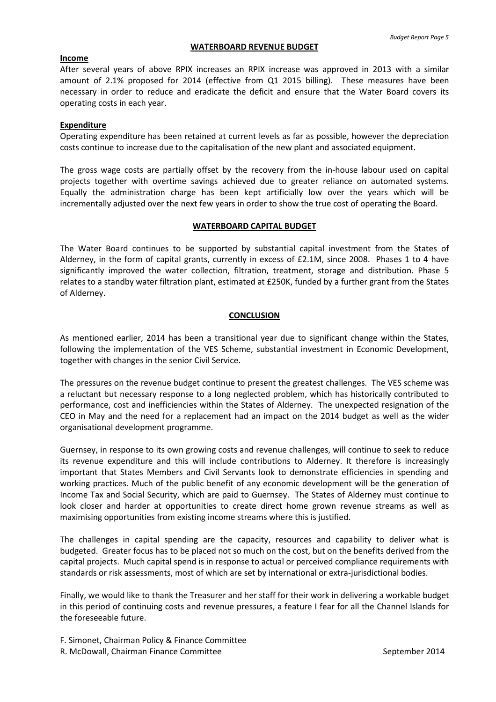#### **WATERBOARD REVENUE BUDGET**

#### **Income**

After several years of above RPIX increases an RPIX increase was approved in 2013 with a similar amount of 2.1% proposed for 2014 (effective from Q1 2015 billing). These measures have been necessary in order to reduce and eradicate the deficit and ensure that the Water Board covers its operating costs in each year.

#### **Expenditure**

Operating expenditure has been retained at current levels as far as possible, however the depreciation costs continue to increase due to the capitalisation of the new plant and associated equipment.

The gross wage costs are partially offset by the recovery from the in-house labour used on capital projects together with overtime savings achieved due to greater reliance on automated systems. Equally the administration charge has been kept artificially low over the years which will be incrementally adjusted over the next few years in order to show the true cost of operating the Board.

#### **WATERBOARD CAPITAL BUDGET**

The Water Board continues to be supported by substantial capital investment from the States of Alderney, in the form of capital grants, currently in excess of £2.1M, since 2008. Phases 1 to 4 have significantly improved the water collection, filtration, treatment, storage and distribution. Phase 5 relates to a standby water filtration plant, estimated at £250K, funded by a further grant from the States of Alderney.

#### **CONCLUSION**

As mentioned earlier, 2014 has been a transitional year due to significant change within the States, following the implementation of the VES Scheme, substantial investment in Economic Development, together with changes in the senior Civil Service.

The pressures on the revenue budget continue to present the greatest challenges. The VES scheme was a reluctant but necessary response to a long neglected problem, which has historically contributed to performance, cost and inefficiencies within the States of Alderney. The unexpected resignation of the CEO in May and the need for a replacement had an impact on the 2014 budget as well as the wider organisational development programme.

Guernsey, in response to its own growing costs and revenue challenges, will continue to seek to reduce its revenue expenditure and this will include contributions to Alderney. It therefore is increasingly important that States Members and Civil Servants look to demonstrate efficiencies in spending and working practices. Much of the public benefit of any economic development will be the generation of Income Tax and Social Security, which are paid to Guernsey. The States of Alderney must continue to look closer and harder at opportunities to create direct home grown revenue streams as well as maximising opportunities from existing income streams where this is justified.

The challenges in capital spending are the capacity, resources and capability to deliver what is budgeted. Greater focus has to be placed not so much on the cost, but on the benefits derived from the capital projects. Much capital spend is in response to actual or perceived compliance requirements with standards or risk assessments, most of which are set by international or extra-jurisdictional bodies.

Finally, we would like to thank the Treasurer and her staff for their work in delivering a workable budget in this period of continuing costs and revenue pressures, a feature I fear for all the Channel Islands for the foreseeable future.

F. Simonet, Chairman Policy & Finance Committee R. McDowall, Chairman Finance Committee September 2014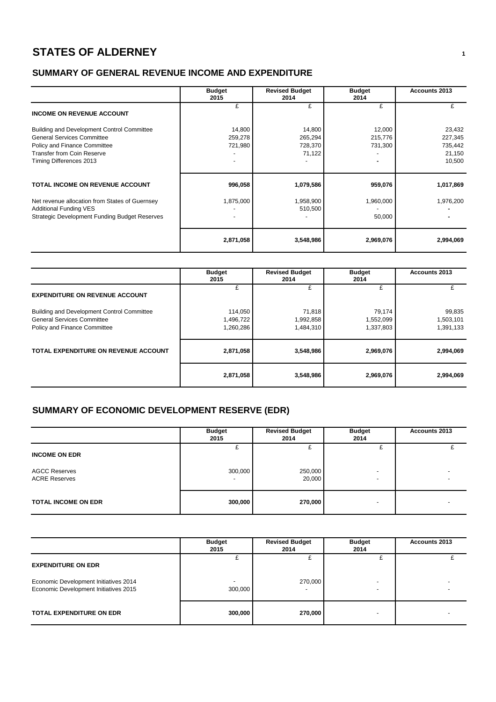## **STATES OF ALDERNEY <sup>1</sup>**

## **SUMMARY OF GENERAL REVENUE INCOME AND EXPENDITURE**

|                                                                                                                                                                                 | <b>Budget</b><br>2015        | <b>Revised Budget</b><br>2014          | <b>Budget</b><br>2014        | <b>Accounts 2013</b>                             |
|---------------------------------------------------------------------------------------------------------------------------------------------------------------------------------|------------------------------|----------------------------------------|------------------------------|--------------------------------------------------|
| <b>INCOME ON REVENUE ACCOUNT</b>                                                                                                                                                | £                            | £                                      | £                            |                                                  |
| Building and Development Control Committee<br><b>General Services Committee</b><br>Policy and Finance Committee<br><b>Transfer from Coin Reserve</b><br>Timing Differences 2013 | 14,800<br>259,278<br>721,980 | 14,800<br>265,294<br>728,370<br>71,122 | 12,000<br>215,776<br>731,300 | 23,432<br>227,345<br>735,442<br>21,150<br>10,500 |
| TOTAL INCOME ON REVENUE ACCOUNT                                                                                                                                                 | 996,058                      | 1,079,586                              | 959,076                      | 1,017,869                                        |
| Net revenue allocation from States of Guernsey<br><b>Additional Funding VES</b><br><b>Strategic Development Funding Budget Reserves</b>                                         | 1,875,000                    | 1,958,900<br>510,500                   | 1,960,000<br>50,000          | 1,976,200                                        |
|                                                                                                                                                                                 | 2,871,058                    | 3,548,986                              | 2,969,076                    | 2,994,069                                        |

|                                                                                                                 | <b>Budget</b><br>2015             | <b>Revised Budget</b><br>2014    | <b>Budget</b><br>2014            | <b>Accounts 2013</b>             |
|-----------------------------------------------------------------------------------------------------------------|-----------------------------------|----------------------------------|----------------------------------|----------------------------------|
| <b>EXPENDITURE ON REVENUE ACCOUNT</b>                                                                           | ÷                                 | £                                | £                                |                                  |
| Building and Development Control Committee<br><b>General Services Committee</b><br>Policy and Finance Committee | 114,050<br>1,496,722<br>1,260,286 | 71,818<br>1,992,858<br>1,484,310 | 79,174<br>1,552,099<br>1,337,803 | 99,835<br>1,503,101<br>1,391,133 |
| TOTAL EXPENDITURE ON REVENUE ACCOUNT                                                                            | 2,871,058                         | 3,548,986                        | 2,969,076                        | 2,994,069                        |
|                                                                                                                 | 2,871,058                         | 3,548,986                        | 2,969,076                        | 2,994,069                        |

## **SUMMARY OF ECONOMIC DEVELOPMENT RESERVE (EDR)**

|                                              | <b>Budget</b><br>2015               | <b>Revised Budget</b><br>2014 | <b>Budget</b><br>2014                                | Accounts 2013 |
|----------------------------------------------|-------------------------------------|-------------------------------|------------------------------------------------------|---------------|
| <b>INCOME ON EDR</b>                         |                                     |                               |                                                      |               |
| <b>AGCC Reserves</b><br><b>ACRE Reserves</b> | 300,000<br>$\overline{\phantom{0}}$ | 250,000<br>20,000             | $\overline{\phantom{0}}$<br>$\overline{\phantom{0}}$ |               |
| <b>TOTAL INCOME ON EDR</b>                   | 300,000                             | 270,000                       | $\overline{\phantom{0}}$                             |               |

|                                                                                | <b>Budget</b><br>2015 | <b>Revised Budget</b><br>2014 | <b>Budget</b><br>2014 | Accounts 2013 |
|--------------------------------------------------------------------------------|-----------------------|-------------------------------|-----------------------|---------------|
| <b>EXPENDITURE ON EDR</b>                                                      |                       |                               |                       |               |
| Economic Development Initiatives 2014<br>Economic Development Initiatives 2015 | 300,000               | 270,000                       |                       |               |
| <b>TOTAL EXPENDITURE ON EDR</b>                                                | 300,000               | 270,000                       |                       |               |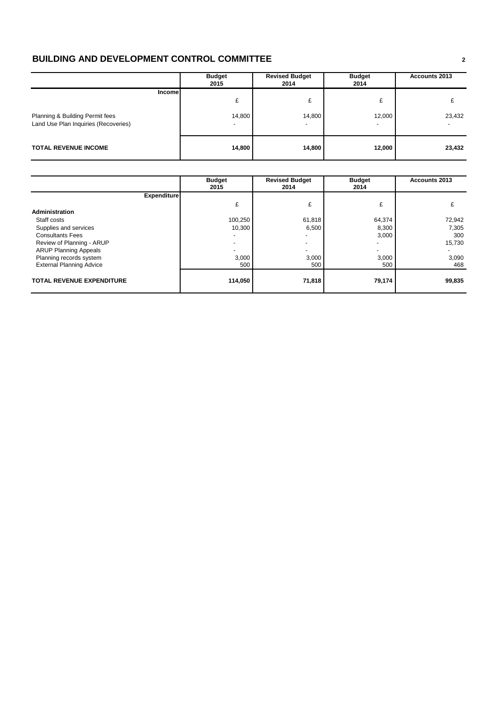## **BUILDING AND DEVELOPMENT CONTROL COMMITTEE <sup>2</sup>**

|                                                                                    | <b>Budget</b><br>2015 | <b>Revised Budget</b><br>2014 | <b>Budget</b><br>2014 | Accounts 2013 |  |
|------------------------------------------------------------------------------------|-----------------------|-------------------------------|-----------------------|---------------|--|
| Incomel<br>Planning & Building Permit fees<br>Land Use Plan Inquiries (Recoveries) | £<br>14,800           | £<br>14,800                   | £<br>12,000           | 23,432        |  |
| <b>TOTAL REVENUE INCOME</b>                                                        | 14,800                | 14,800                        | 12,000                | 23,432        |  |

|                                  | <b>Budget</b><br>2015 | <b>Revised Budget</b><br>2014 | <b>Budget</b><br>2014 | <b>Accounts 2013</b> |
|----------------------------------|-----------------------|-------------------------------|-----------------------|----------------------|
| <b>Expenditure</b>               |                       |                               |                       |                      |
|                                  | £                     | £                             | £                     |                      |
| Administration                   |                       |                               |                       |                      |
| Staff costs                      | 100,250               | 61,818                        | 64,374                | 72,942               |
| Supplies and services            | 10,300                | 6,500                         | 8,300                 | 7,305                |
| <b>Consultants Fees</b>          |                       |                               | 3,000                 | 300                  |
| Review of Planning - ARUP        |                       |                               |                       | 15,730               |
| <b>ARUP Planning Appeals</b>     |                       |                               |                       |                      |
| Planning records system          | 3,000                 | 3,000                         | 3,000                 | 3,090                |
| <b>External Planning Advice</b>  | 500                   | 500                           | 500                   | 468                  |
| <b>TOTAL REVENUE EXPENDITURE</b> | 114,050               | 71,818                        | 79,174                | 99,835               |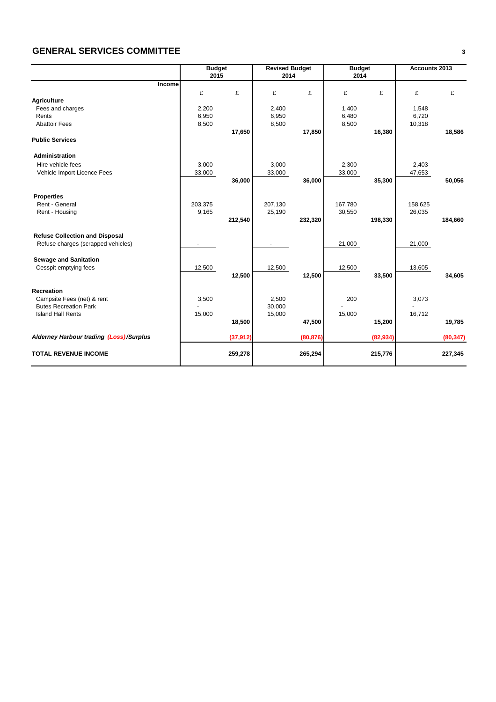## **GENERAL SERVICES COMMITTEE <sup>3</sup>**

|                                         | <b>Budget</b>            |           | <b>Revised Budget</b>    |           | <b>Budget</b> |           | Accounts 2013 |           |
|-----------------------------------------|--------------------------|-----------|--------------------------|-----------|---------------|-----------|---------------|-----------|
|                                         | 2015                     |           | 2014                     |           | 2014          |           |               |           |
| Income                                  |                          |           |                          |           |               |           |               |           |
|                                         | £                        | £         | £                        | £         | £             | £         | £             | £         |
| <b>Agriculture</b>                      |                          |           |                          |           |               |           |               |           |
| Fees and charges                        | 2,200                    |           | 2,400                    |           | 1,400         |           | 1,548         |           |
| Rents                                   | 6,950                    |           | 6,950                    |           | 6,480         |           | 6,720         |           |
| <b>Abattoir Fees</b>                    | 8,500                    |           | 8,500                    |           | 8,500         |           | 10,318        |           |
|                                         |                          | 17,650    |                          | 17,850    |               | 16,380    |               | 18,586    |
| <b>Public Services</b>                  |                          |           |                          |           |               |           |               |           |
| <b>Administration</b>                   |                          |           |                          |           |               |           |               |           |
| Hire vehicle fees                       | 3,000                    |           | 3,000                    |           | 2,300         |           | 2,403         |           |
| Vehicle Import Licence Fees             | 33,000                   |           | 33,000                   |           | 33,000        |           | 47,653        |           |
|                                         |                          | 36,000    |                          | 36,000    |               | 35,300    |               | 50,056    |
|                                         |                          |           |                          |           |               |           |               |           |
| <b>Properties</b>                       |                          |           |                          |           |               |           |               |           |
| Rent - General                          | 203,375                  |           | 207,130                  |           | 167,780       |           | 158,625       |           |
| Rent - Housing                          | 9,165                    |           | 25,190                   |           | 30,550        |           | 26,035        |           |
|                                         |                          | 212,540   |                          | 232,320   |               | 198,330   |               | 184,660   |
| <b>Refuse Collection and Disposal</b>   |                          |           |                          |           |               |           |               |           |
| Refuse charges (scrapped vehicles)      | $\overline{\phantom{a}}$ |           | $\overline{\phantom{a}}$ |           | 21,000        |           | 21,000        |           |
|                                         |                          |           |                          |           |               |           |               |           |
| <b>Sewage and Sanitation</b>            |                          |           |                          |           |               |           |               |           |
| Cesspit emptying fees                   | 12,500                   |           | 12,500                   |           | 12,500        |           | 13,605        |           |
|                                         |                          | 12,500    |                          | 12,500    |               | 33,500    |               | 34,605    |
|                                         |                          |           |                          |           |               |           |               |           |
| <b>Recreation</b>                       |                          |           |                          |           |               |           |               |           |
| Campsite Fees (net) & rent              | 3,500                    |           | 2,500                    |           | 200           |           | 3,073         |           |
| <b>Butes Recreation Park</b>            |                          |           | 30,000                   |           |               |           |               |           |
| <b>Island Hall Rents</b>                | 15,000                   |           | 15,000                   |           | 15,000        |           | 16,712        |           |
|                                         |                          | 18,500    |                          | 47,500    |               | 15,200    |               | 19,785    |
| Alderney Harbour trading (Loss)/Surplus |                          |           |                          |           |               |           |               |           |
|                                         |                          | (37, 912) |                          | (80, 876) |               | (82, 934) |               | (80, 347) |
| <b>TOTAL REVENUE INCOME</b>             |                          | 259,278   |                          | 265,294   |               | 215,776   |               | 227,345   |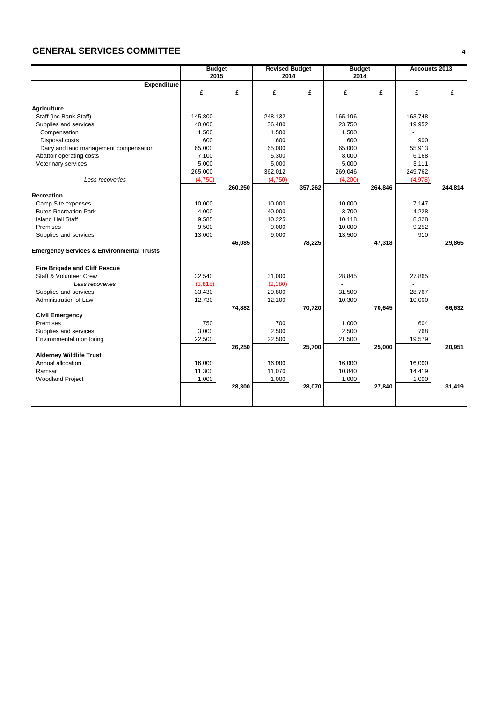## **GENERAL SERVICES COMMITTEE <sup>4</sup>**

|                                                      | <b>Budget</b> |         | <b>Revised Budget</b> |         | <b>Budget</b> |         | <b>Accounts 2013</b> |         |
|------------------------------------------------------|---------------|---------|-----------------------|---------|---------------|---------|----------------------|---------|
|                                                      | 2015          |         | 2014                  |         | 2014          |         |                      |         |
| <b>Expenditure</b>                                   |               |         |                       |         |               |         |                      |         |
|                                                      | £             | £       | £                     | £       | £             | £       | £                    | £       |
|                                                      |               |         |                       |         |               |         |                      |         |
| <b>Agriculture</b>                                   |               |         |                       |         |               |         |                      |         |
| Staff (inc Bank Staff)                               | 145,800       |         | 248,132               |         | 165,196       |         | 163,748              |         |
| Supplies and services                                | 40,000        |         | 36,480                |         | 23,750        |         | 19,952               |         |
| Compensation                                         | 1,500         |         | 1,500                 |         | 1,500         |         |                      |         |
| Disposal costs                                       | 600           |         | 600                   |         | 600           |         | 900                  |         |
| Dairy and land management compensation               | 65,000        |         | 65,000                |         | 65,000        |         | 55,913               |         |
| Abattoir operating costs                             | 7,100         |         | 5,300                 |         | 8,000         |         | 6,168                |         |
| Veterinary services                                  | 5,000         |         | 5,000                 |         | 5,000         |         | 3,111                |         |
|                                                      | 265,000       |         | 362,012               |         | 269,046       |         | 249,762              |         |
| Less recoveries                                      | (4,750)       |         | (4,750)               |         | (4,200)       |         | (4,978)              |         |
|                                                      |               | 260,250 |                       | 357,262 |               | 264,846 |                      | 244,814 |
| <b>Recreation</b>                                    |               |         |                       |         |               |         |                      |         |
| Camp Site expenses                                   | 10,000        |         | 10,000                |         | 10,000        |         | 7,147                |         |
| <b>Butes Recreation Park</b>                         | 4,000         |         | 40,000                |         | 3,700         |         | 4,228                |         |
| <b>Island Hall Staff</b>                             | 9,585         |         | 10,225                |         | 10,118        |         | 8,328                |         |
| Premises                                             | 9,500         |         | 9,000                 |         | 10,000        |         | 9,252                |         |
| Supplies and services                                | 13,000        |         | 9,000                 |         | 13,500        |         | 910                  |         |
|                                                      |               | 46,085  |                       | 78,225  |               | 47,318  |                      | 29,865  |
| <b>Emergency Services &amp; Environmental Trusts</b> |               |         |                       |         |               |         |                      |         |
|                                                      |               |         |                       |         |               |         |                      |         |
| <b>Fire Brigade and Cliff Rescue</b>                 |               |         |                       |         |               |         |                      |         |
| <b>Staff &amp; Volunteer Crew</b>                    | 32.540        |         | 31,000                |         | 28,845        |         | 27,865               |         |
| Less recoveries                                      | (3,818)       |         | (2, 180)              |         |               |         |                      |         |
| Supplies and services                                | 33,430        |         | 29,800                |         | 31,500        |         | 28,767               |         |
| Administration of Law                                | 12,730        |         | 12,100                |         | 10,300        |         | 10,000               |         |
|                                                      |               | 74,882  |                       | 70,720  |               | 70,645  |                      | 66,632  |
| <b>Civil Emergency</b>                               |               |         |                       |         |               |         |                      |         |
| Premises                                             | 750           |         | 700                   |         | 1,000         |         | 604                  |         |
| Supplies and services                                | 3,000         |         | 2,500                 |         | 2,500         |         | 768                  |         |
| Environmental monitoring                             | 22,500        |         | 22,500                |         | 21,500        |         | 19,579               |         |
|                                                      |               | 26,250  |                       | 25,700  |               | 25,000  |                      | 20,951  |
| <b>Alderney Wildlife Trust</b>                       |               |         |                       |         |               |         |                      |         |
| Annual allocation                                    | 16,000        |         | 16,000                |         | 16,000        |         | 16,000               |         |
| Ramsar                                               | 11,300        |         | 11,070                |         | 10,840        |         | 14,419               |         |
| <b>Woodland Project</b>                              | 1,000         |         | 1,000                 |         | 1,000         |         | 1,000                |         |
|                                                      |               | 28,300  |                       | 28,070  |               | 27,840  |                      | 31,419  |
|                                                      |               |         |                       |         |               |         |                      |         |
|                                                      |               |         |                       |         |               |         |                      |         |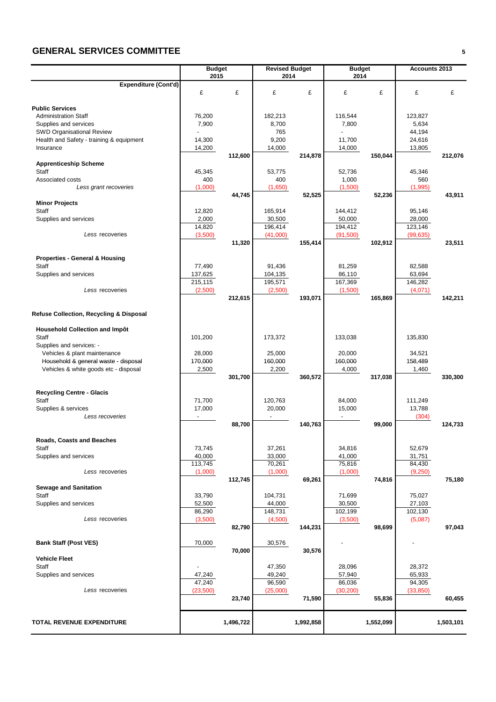## **GENERAL SERVICES COMMITTEE <sup>5</sup>**

|                                                                               | <b>Budget</b><br>2015 |           | <b>Revised Budget</b><br>2014 |           | <b>Budget</b><br>2014    |           | Accounts 2013    |           |
|-------------------------------------------------------------------------------|-----------------------|-----------|-------------------------------|-----------|--------------------------|-----------|------------------|-----------|
| <b>Expenditure (Cont'd)</b>                                                   |                       |           |                               |           |                          |           |                  |           |
|                                                                               | £                     | £         | £                             | £         | £                        | £         | £                | £         |
| <b>Public Services</b>                                                        |                       |           |                               |           |                          |           |                  |           |
| <b>Administration Staff</b>                                                   | 76,200                |           | 182,213                       |           | 116,544                  |           | 123,827          |           |
| Supplies and services                                                         | 7,900                 |           | 8,700                         |           | 7,800                    |           | 5,634            |           |
| <b>SWD Organisational Review</b>                                              |                       |           | 765                           |           | $\overline{a}$           |           | 44,194           |           |
| Health and Safety - training & equipment                                      | 14,300                |           | 9,200                         |           | 11,700                   |           | 24,616           |           |
| Insurance                                                                     | 14,200                |           | 14,000                        |           | 14,000                   |           | 13,805           |           |
|                                                                               |                       | 112,600   |                               | 214,878   |                          | 150,044   |                  | 212,076   |
| <b>Apprenticeship Scheme</b>                                                  |                       |           |                               |           |                          |           |                  |           |
| <b>Staff</b>                                                                  | 45,345                |           | 53,775                        |           | 52,736                   |           | 45,346           |           |
| Associated costs                                                              | 400                   |           | 400                           |           | 1,000                    |           | 560              |           |
| Less grant recoveries                                                         | (1,000)               |           | (1,650)                       |           | (1,500)                  |           | (1,995)          |           |
| <b>Minor Projects</b>                                                         |                       | 44,745    |                               | 52,525    |                          | 52,236    |                  | 43,911    |
| Staff                                                                         | 12,820                |           | 165,914                       |           | 144,412                  |           | 95,146           |           |
| Supplies and services                                                         | 2,000                 |           | 30,500                        |           | 50,000                   |           | 28,000           |           |
|                                                                               | 14,820                |           | 196,414                       |           | 194,412                  |           | 123,146          |           |
| Less recoveries                                                               | (3,500)               |           | (41,000)                      |           | (91, 500)                |           | (99, 635)        |           |
|                                                                               |                       | 11,320    |                               | 155,414   |                          | 102,912   |                  | 23,511    |
|                                                                               |                       |           |                               |           |                          |           |                  |           |
| <b>Properties - General &amp; Housing</b>                                     |                       |           |                               |           |                          |           |                  |           |
| Staff                                                                         | 77,490                |           | 91,436                        |           | 81,259                   |           | 82,588           |           |
| Supplies and services                                                         | 137,625               |           | 104,135                       |           | 86,110                   |           | 63,694           |           |
|                                                                               | 215,115               |           | 195,571                       |           | 167,369                  |           | 146,282          |           |
| Less recoveries                                                               | (2,500)               |           | (2,500)                       |           | (1,500)                  |           | (4,071)          |           |
|                                                                               |                       | 212,615   |                               | 193,071   |                          | 165,869   |                  | 142,211   |
| Refuse Collection, Recycling & Disposal                                       |                       |           |                               |           |                          |           |                  |           |
|                                                                               |                       |           |                               |           |                          |           |                  |           |
| <b>Household Collection and Impôt</b>                                         |                       |           |                               |           |                          |           |                  |           |
| Staff                                                                         | 101,200               |           | 173,372                       |           | 133,038                  |           | 135,830          |           |
| Supplies and services: -                                                      |                       |           |                               |           |                          |           |                  |           |
| Vehicles & plant maintenance                                                  | 28,000                |           | 25,000                        |           | 20,000                   |           | 34,521           |           |
| Household & general waste - disposal<br>Vehicles & white goods etc - disposal | 170,000<br>2,500      |           | 160,000<br>2,200              |           | 160,000<br>4,000         |           | 158,489<br>1,460 |           |
|                                                                               |                       | 301,700   |                               | 360,572   |                          | 317,038   |                  | 330,300   |
|                                                                               |                       |           |                               |           |                          |           |                  |           |
| <b>Recycling Centre - Glacis</b>                                              |                       |           |                               |           |                          |           |                  |           |
| Staff                                                                         | 71,700                |           | 120,763                       |           | 84,000                   |           | 111,249          |           |
| Supplies & services                                                           | 17,000                |           | 20,000                        |           | 15,000                   |           | 13,788           |           |
| Less recoveries                                                               | $\blacksquare$        |           | $\overline{\phantom{a}}$      |           | $\overline{\phantom{a}}$ |           | (304)            |           |
|                                                                               |                       | 88,700    |                               | 140,763   |                          | 99,000    |                  | 124,733   |
|                                                                               |                       |           |                               |           |                          |           |                  |           |
| Roads, Coasts and Beaches                                                     |                       |           |                               |           |                          |           |                  |           |
| Staff                                                                         | 73,745                |           | 37,261                        |           | 34,816                   |           | 52,679           |           |
| Supplies and services                                                         | 40,000<br>113,745     |           | 33,000<br>70,261              |           | 41,000<br>75,816         |           | 31,751<br>84,430 |           |
| Less recoveries                                                               | (1,000)               |           | (1,000)                       |           | (1,000)                  |           | (9,250)          |           |
|                                                                               |                       | 112,745   |                               | 69,261    |                          | 74,816    |                  | 75,180    |
| <b>Sewage and Sanitation</b>                                                  |                       |           |                               |           |                          |           |                  |           |
| Staff                                                                         | 33,790                |           | 104,731                       |           | 71,699                   |           | 75,027           |           |
| Supplies and services                                                         | 52,500                |           | 44,000                        |           | 30,500                   |           | 27,103           |           |
|                                                                               | 86,290                |           | 148,731                       |           | 102.199                  |           | 102,130          |           |
| Less recoveries                                                               | (3,500)               |           | (4,500)                       |           | (3,500)                  |           | (5,087)          |           |
|                                                                               |                       | 82,790    |                               | 144,231   |                          | 98,699    |                  | 97,043    |
|                                                                               |                       |           |                               |           |                          |           |                  |           |
| <b>Bank Staff (Post VES)</b>                                                  | 70,000                |           | 30,576                        |           |                          |           |                  |           |
|                                                                               |                       | 70,000    |                               | 30,576    |                          |           |                  |           |
| <b>Vehicle Fleet</b><br>Staff                                                 |                       |           |                               |           |                          |           |                  |           |
| Supplies and services                                                         | 47,240                |           | 47,350                        |           | 28,096                   |           | 28,372<br>65,933 |           |
|                                                                               | 47,240                |           | 49,240<br>96,590              |           | 57,940<br>86,036         |           | 94,305           |           |
| Less recoveries                                                               | (23,500)              |           | (25,000)                      |           | (30, 200)                |           | (33, 850)        |           |
|                                                                               |                       | 23,740    |                               | 71,590    |                          | 55,836    |                  | 60,455    |
|                                                                               |                       |           |                               |           |                          |           |                  |           |
|                                                                               |                       |           |                               |           |                          |           |                  |           |
| TOTAL REVENUE EXPENDITURE                                                     |                       | 1,496,722 |                               | 1,992,858 |                          | 1,552,099 |                  | 1,503,101 |
|                                                                               |                       |           |                               |           |                          |           |                  |           |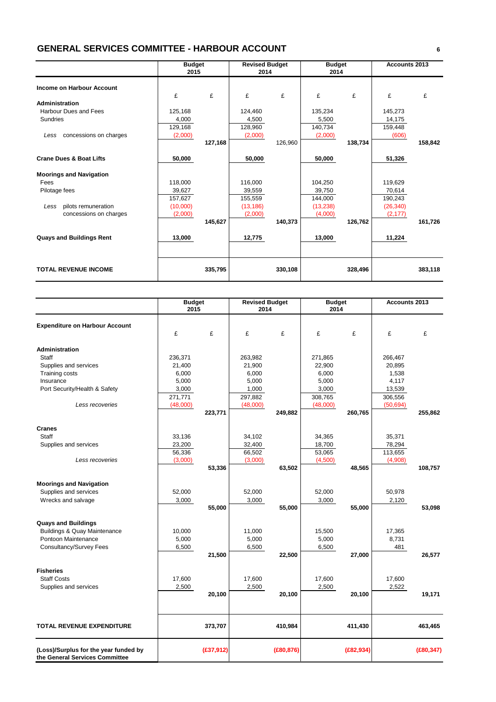## **GENERAL SERVICES COMMITTEE - HARBOUR ACCOUNT <sup>6</sup>**

|                                    | <b>Budget</b><br>2015 |         | <b>Revised Budget</b><br>2014 |         | <b>Budget</b><br>2014 |         | <b>Accounts 2013</b> |         |
|------------------------------------|-----------------------|---------|-------------------------------|---------|-----------------------|---------|----------------------|---------|
| Income on Harbour Account          |                       |         |                               |         |                       |         |                      |         |
|                                    | £                     | £       | £                             | £       | £                     | £       | £                    | £       |
| Administration                     |                       |         |                               |         |                       |         |                      |         |
| Harbour Dues and Fees              | 125,168               |         | 124,460                       |         | 135,234               |         | 145,273              |         |
| Sundries                           | 4,000                 |         | 4,500                         |         | 5,500                 |         | 14,175               |         |
|                                    | 129,168               |         | 128,960                       |         | 140,734               |         | 159,448              |         |
| concessions on charges<br>Less     | (2,000)               |         | (2,000)                       |         | (2,000)               |         | (606)                |         |
|                                    |                       | 127,168 |                               | 126,960 |                       | 138,734 |                      | 158,842 |
| <b>Crane Dues &amp; Boat Lifts</b> | 50,000                |         | 50,000                        |         | 50,000                |         | 51,326               |         |
| <b>Moorings and Navigation</b>     |                       |         |                               |         |                       |         |                      |         |
| Fees                               | 118.000               |         | 116.000                       |         | 104.250               |         | 119.629              |         |
| Pilotage fees                      | 39,627                |         | 39,559                        |         | 39,750                |         | 70,614               |         |
|                                    | 157,627               |         | 155,559                       |         | 144,000               |         | 190,243              |         |
| pilots remuneration<br>Less        | (10,000)              |         | (13, 186)                     |         | (13,238)              |         | (26, 340)            |         |
| concessions on charges             | (2,000)               |         | (2,000)                       |         | (4,000)               |         | (2, 177)             |         |
|                                    |                       | 145,627 |                               | 140,373 |                       | 126,762 |                      | 161,726 |
| <b>Quays and Buildings Rent</b>    | 13,000                |         | 12,775                        |         | 13,000                |         | 11,224               |         |
|                                    |                       |         |                               |         |                       |         |                      |         |
| <b>TOTAL REVENUE INCOME</b>        |                       | 335,795 |                               | 330,108 |                       | 328,496 |                      | 383,118 |

|                                                                         | <b>Budget</b><br>2015 |            | <b>Revised Budget</b><br>2014 |            | <b>Budget</b><br>2014 |            | Accounts 2013 |            |
|-------------------------------------------------------------------------|-----------------------|------------|-------------------------------|------------|-----------------------|------------|---------------|------------|
| <b>Expenditure on Harbour Account</b>                                   |                       |            |                               |            |                       |            |               |            |
|                                                                         | £                     | £          | £                             | £          | £                     | £          | £             | £          |
| <b>Administration</b>                                                   |                       |            |                               |            |                       |            |               |            |
| Staff                                                                   | 236,371               |            | 263,982                       |            | 271,865               |            | 266,467       |            |
| Supplies and services                                                   | 21,400                |            | 21,900                        |            | 22,900                |            | 20,895        |            |
| <b>Training costs</b>                                                   | 6,000                 |            | 6,000                         |            | 6,000                 |            | 1,538         |            |
| Insurance                                                               | 5,000                 |            | 5,000                         |            | 5,000                 |            | 4,117         |            |
| Port Security/Health & Safety                                           | 3,000                 |            | 1,000                         |            | 3,000                 |            | 13,539        |            |
|                                                                         | 271,771               |            | 297,882                       |            | 308,765               |            | 306,556       |            |
| Less recoveries                                                         | (48,000)              |            | (48,000)                      |            | (48,000)              |            | (50, 694)     |            |
|                                                                         |                       | 223,771    |                               | 249,882    |                       | 260,765    |               | 255,862    |
| <b>Cranes</b>                                                           |                       |            |                               |            |                       |            |               |            |
| Staff                                                                   | 33,136                |            | 34,102                        |            | 34,365                |            | 35,371        |            |
| Supplies and services                                                   | 23,200                |            | 32,400                        |            | 18,700                |            | 78,294        |            |
|                                                                         | 56,336                |            | 66,502                        |            | 53,065                |            | 113,655       |            |
| Less recoveries                                                         | (3,000)               |            | (3,000)                       |            | (4,500)               |            | (4,908)       |            |
|                                                                         |                       | 53,336     |                               | 63,502     |                       | 48,565     |               | 108,757    |
| <b>Moorings and Navigation</b>                                          |                       |            |                               |            |                       |            |               |            |
| Supplies and services                                                   | 52,000                |            | 52,000                        |            | 52,000                |            | 50,978        |            |
| Wrecks and salvage                                                      | 3,000                 |            | 3,000                         |            | 3,000                 |            | 2,120         |            |
|                                                                         |                       | 55,000     |                               | 55,000     |                       | 55,000     |               | 53,098     |
| <b>Quays and Buildings</b>                                              |                       |            |                               |            |                       |            |               |            |
| <b>Buildings &amp; Quay Maintenance</b>                                 | 10,000                |            | 11,000                        |            | 15,500                |            | 17,365        |            |
| Pontoon Maintenance                                                     | 5,000                 |            | 5,000                         |            | 5,000                 |            | 8,731         |            |
| Consultancy/Survey Fees                                                 | 6,500                 |            | 6,500                         |            | 6,500                 |            | 481           |            |
|                                                                         |                       | 21,500     |                               | 22,500     |                       | 27,000     |               | 26,577     |
| <b>Fisheries</b>                                                        |                       |            |                               |            |                       |            |               |            |
| <b>Staff Costs</b>                                                      | 17,600                |            | 17,600                        |            | 17,600                |            | 17,600        |            |
| Supplies and services                                                   | 2,500                 |            | 2,500                         |            | 2,500                 |            | 2,522         |            |
|                                                                         |                       | 20,100     |                               | 20,100     |                       | 20,100     |               | 19,171     |
|                                                                         |                       |            |                               |            |                       |            |               |            |
| <b>TOTAL REVENUE EXPENDITURE</b>                                        |                       | 373,707    |                               | 410,984    |                       | 411,430    |               | 463,465    |
| (Loss)/Surplus for the year funded by<br>the General Services Committee |                       | (E37, 912) |                               | (E80, 876) |                       | (E82, 934) |               | (E80, 347) |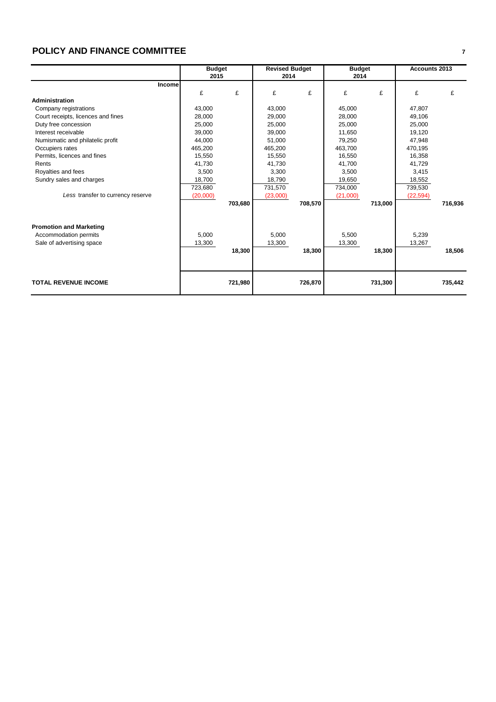## **POLICY AND FINANCE COMMITTEE <sup>7</sup>**

|                                    |          | <b>Budget</b> |          | <b>Revised Budget</b> |          | <b>Budget</b> | Accounts 2013 |         |
|------------------------------------|----------|---------------|----------|-----------------------|----------|---------------|---------------|---------|
|                                    | 2015     |               | 2014     |                       | 2014     |               |               |         |
| <b>Incomel</b>                     |          |               |          |                       |          |               |               |         |
|                                    | £        | £             | £        | £                     | £        | £             | £             | £       |
| Administration                     |          |               |          |                       |          |               |               |         |
| Company registrations              | 43,000   |               | 43,000   |                       | 45,000   |               | 47,807        |         |
| Court receipts, licences and fines | 28,000   |               | 29,000   |                       | 28,000   |               | 49,106        |         |
| Duty free concession               | 25,000   |               | 25,000   |                       | 25,000   |               | 25,000        |         |
| Interest receivable                | 39,000   |               | 39,000   |                       | 11,650   |               | 19,120        |         |
| Numismatic and philatelic profit   | 44.000   |               | 51,000   |                       | 79,250   |               | 47,948        |         |
| Occupiers rates                    | 465,200  |               | 465,200  |                       | 463.700  |               | 470,195       |         |
| Permits, licences and fines        | 15,550   |               | 15,550   |                       | 16,550   |               | 16,358        |         |
| Rents                              | 41.730   |               | 41.730   |                       | 41.700   |               | 41.729        |         |
| Royalties and fees                 | 3.500    |               | 3,300    |                       | 3,500    |               | 3,415         |         |
| Sundry sales and charges           | 18,700   |               | 18,790   |                       | 19,650   |               | 18,552        |         |
|                                    | 723,680  |               | 731,570  |                       | 734,000  |               | 739,530       |         |
| Less transfer to currency reserve  | (20,000) |               | (23,000) |                       | (21,000) |               | (22, 594)     |         |
|                                    |          | 703,680       |          | 708,570               |          | 713,000       |               | 716,936 |
|                                    |          |               |          |                       |          |               |               |         |
|                                    |          |               |          |                       |          |               |               |         |
| <b>Promotion and Marketing</b>     |          |               |          |                       |          |               |               |         |
| Accommodation permits              | 5,000    |               | 5,000    |                       | 5,500    |               | 5,239         |         |
| Sale of advertising space          | 13,300   |               | 13,300   |                       | 13,300   |               | 13,267        |         |
|                                    |          | 18,300        |          | 18,300                |          | 18,300        |               | 18,506  |
|                                    |          |               |          |                       |          |               |               |         |
|                                    |          |               |          |                       |          |               |               |         |
|                                    |          |               |          |                       |          |               |               |         |
| <b>TOTAL REVENUE INCOME</b>        |          | 721,980       |          | 726,870               |          | 731,300       |               | 735,442 |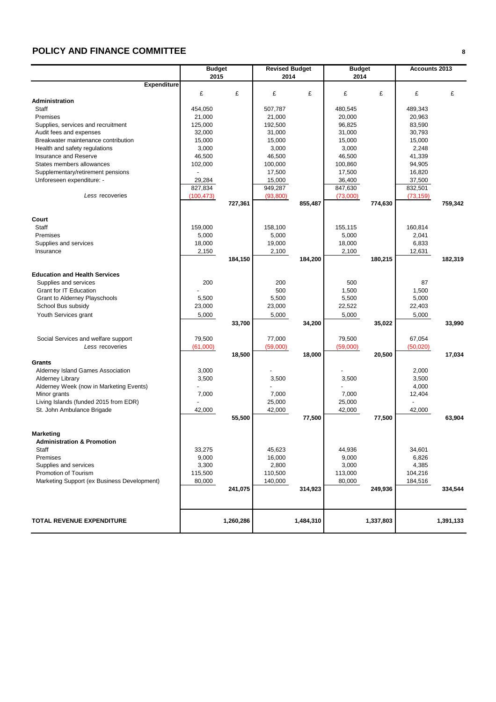## **POLICY AND FINANCE COMMITTEE <sup>8</sup>**

|                                                                | <b>Budget</b> |           | <b>Revised Budget</b> |           | <b>Budget</b>    |           | Accounts 2013    |           |
|----------------------------------------------------------------|---------------|-----------|-----------------------|-----------|------------------|-----------|------------------|-----------|
|                                                                | 2015          |           | 2014                  |           | 2014             |           |                  |           |
| <b>Expenditure</b>                                             |               |           |                       |           |                  |           |                  |           |
|                                                                | £             | £         | £                     | £         | £                | £         | £                | £         |
| Administration                                                 |               |           |                       |           |                  |           |                  |           |
| <b>Staff</b>                                                   | 454,050       |           | 507,787               |           | 480.545          |           | 489,343          |           |
| Premises                                                       | 21,000        |           | 21,000                |           | 20,000           |           | 20,963           |           |
| Supplies, services and recruitment                             | 125,000       |           | 192,500               |           | 96,825           |           | 83,590           |           |
| Audit fees and expenses                                        | 32,000        |           | 31,000                |           | 31,000           |           | 30,793           |           |
| Breakwater maintenance contribution                            | 15,000        |           | 15,000                |           | 15,000           |           | 15,000           |           |
| Health and safety regulations                                  | 3,000         |           | 3,000                 |           | 3,000            |           | 2,248            |           |
| Insurance and Reserve                                          | 46,500        |           | 46,500                |           | 46,500           |           | 41,339           |           |
| States members allowances                                      | 102,000       |           | 100,000               |           | 100,860          |           | 94,905           |           |
| Supplementary/retirement pensions<br>Unforeseen expenditure: - | 29,284        |           | 17,500<br>15,000      |           | 17,500<br>36,400 |           | 16,820<br>37,500 |           |
|                                                                | 827,834       |           | 949,287               |           | 847,630          |           | 832,501          |           |
| Less recoveries                                                | (100, 473)    |           | (93,800)              |           | (73,000)         |           | (73, 159)        |           |
|                                                                |               | 727,361   |                       | 855,487   |                  | 774,630   |                  | 759,342   |
|                                                                |               |           |                       |           |                  |           |                  |           |
| Court                                                          |               |           |                       |           |                  |           |                  |           |
| Staff                                                          | 159,000       |           | 158,100               |           | 155,115          |           | 160,814          |           |
| Premises                                                       | 5,000         |           | 5,000                 |           | 5,000            |           | 2,041            |           |
| Supplies and services                                          | 18,000        |           | 19,000                |           | 18,000           |           | 6,833            |           |
| Insurance                                                      | 2,150         |           | 2,100                 |           | 2,100            |           | 12,631           |           |
|                                                                |               | 184,150   |                       | 184,200   |                  | 180,215   |                  | 182,319   |
|                                                                |               |           |                       |           |                  |           |                  |           |
| <b>Education and Health Services</b>                           |               |           |                       |           |                  |           |                  |           |
| Supplies and services                                          | 200           |           | 200                   |           | 500              |           | 87               |           |
| Grant for IT Education                                         |               |           | 500                   |           | 1,500            |           | 1,500            |           |
| Grant to Alderney Playschools                                  | 5,500         |           | 5,500                 |           | 5,500            |           | 5,000            |           |
| School Bus subsidy                                             | 23,000        |           | 23,000                |           | 22,522           |           | 22,403           |           |
| Youth Services grant                                           | 5,000         |           | 5,000                 |           | 5,000            |           | 5,000            |           |
|                                                                |               | 33,700    |                       | 34,200    |                  | 35,022    |                  | 33,990    |
|                                                                |               |           |                       |           |                  |           |                  |           |
| Social Services and welfare support                            | 79,500        |           | 77,000                |           | 79,500           |           | 67,054           |           |
| Less recoveries                                                | (61,000)      |           | (59,000)              |           | (59,000)         |           | (50,020)         |           |
| Grants                                                         |               | 18,500    |                       | 18,000    |                  | 20,500    |                  | 17,034    |
| Alderney Island Games Association                              | 3,000         |           |                       |           |                  |           | 2,000            |           |
| <b>Alderney Library</b>                                        | 3,500         |           | 3,500                 |           | 3,500            |           | 3,500            |           |
| Alderney Week (now in Marketing Events)                        |               |           |                       |           |                  |           | 4,000            |           |
| Minor grants                                                   | 7,000         |           | 7,000                 |           | 7,000            |           | 12,404           |           |
| Living Islands (funded 2015 from EDR)                          |               |           | 25,000                |           | 25,000           |           |                  |           |
| St. John Ambulance Brigade                                     | 42,000        |           | 42,000                |           | 42,000           |           | 42,000           |           |
|                                                                |               | 55,500    |                       | 77,500    |                  | 77,500    |                  | 63,904    |
|                                                                |               |           |                       |           |                  |           |                  |           |
| Marketing                                                      |               |           |                       |           |                  |           |                  |           |
| <b>Administration &amp; Promotion</b>                          |               |           |                       |           |                  |           |                  |           |
| Staff                                                          | 33,275        |           | 45,623                |           | 44,936           |           | 34,601           |           |
| Premises                                                       | 9,000         |           | 16,000                |           | 9,000            |           | 6,826            |           |
| Supplies and services                                          | 3,300         |           | 2,800                 |           | 3,000            |           | 4,385            |           |
| Promotion of Tourism                                           | 115,500       |           | 110,500               |           | 113,000          |           | 104,216          |           |
| Marketing Support (ex Business Development)                    | 80,000        |           | 140,000               |           | 80,000           |           | 184,516          |           |
|                                                                |               | 241,075   |                       | 314,923   |                  | 249,936   |                  | 334,544   |
|                                                                |               |           |                       |           |                  |           |                  |           |
|                                                                |               |           |                       |           |                  |           |                  |           |
|                                                                |               |           |                       |           |                  |           |                  |           |
| <b>TOTAL REVENUE EXPENDITURE</b>                               |               | 1,260,286 |                       | 1,484,310 |                  | 1,337,803 |                  | 1,391,133 |
|                                                                |               |           |                       |           |                  |           |                  |           |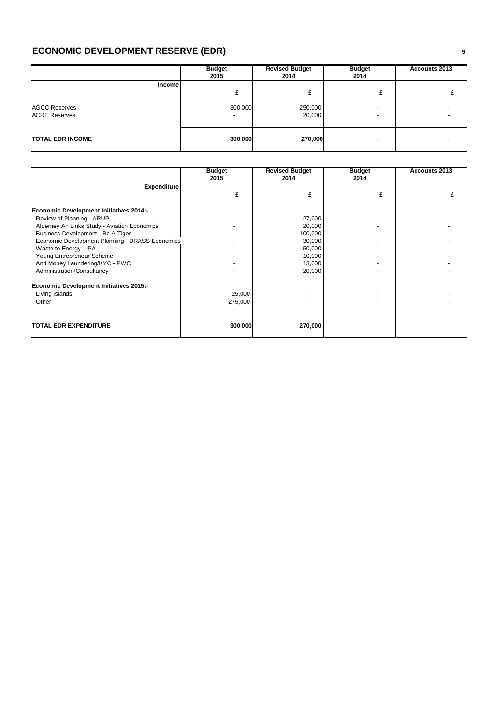## **ECONOMIC DEVELOPMENT RESERVE (EDR) <sup>9</sup>**

|                                                               | <b>Budget</b><br>2015                    | <b>Revised Budget</b><br>2014 | <b>Budget</b><br>2014                 | Accounts 2013 |
|---------------------------------------------------------------|------------------------------------------|-------------------------------|---------------------------------------|---------------|
| <b>Income</b><br><b>AGCC Reserves</b><br><b>ACRE Reserves</b> | £<br>300,000<br>$\overline{\phantom{0}}$ | £<br>250,000<br>20,000        | £<br>$\overline{a}$<br>$\overline{a}$ |               |
| <b>TOTAL EDR INCOME</b>                                       | 300,000                                  | 270,000                       | -                                     |               |

|                                                 | <b>Budget</b><br>2015 | <b>Revised Budget</b><br>2014 | <b>Budget</b><br>2014 | Accounts 2013 |
|-------------------------------------------------|-----------------------|-------------------------------|-----------------------|---------------|
| <b>Expenditure</b>                              |                       |                               |                       |               |
|                                                 | £                     | £                             | £                     |               |
| <b>Economic Development Initiatives 2014:-</b>  |                       |                               |                       |               |
| Review of Planning - ARUP                       |                       | 27,000                        |                       |               |
| Alderney Air Links Study - Aviation Economics   |                       | 20,000                        |                       |               |
| Business Development - Be A Tiger               |                       | 100,000                       |                       |               |
| Economic Development Planning - DRASS Economics |                       | 30,000                        |                       |               |
| Waste to Energy - IPA                           |                       | 50,000                        |                       |               |
| Young Entrepreneur Scheme                       |                       | 10,000                        |                       |               |
| Anti Money Laundering/KYC - PWC                 |                       | 13,000                        |                       |               |
| Administration/Consultancy                      |                       | 20,000                        |                       |               |
| <b>Economic Development Initiatives 2015:-</b>  |                       |                               |                       |               |
| Living Islands                                  | 25,000                |                               |                       |               |
| Other                                           | 275,000               |                               |                       |               |
|                                                 |                       |                               |                       |               |
| <b>TOTAL EDR EXPENDITURE</b>                    | 300,000               | 270,000                       |                       |               |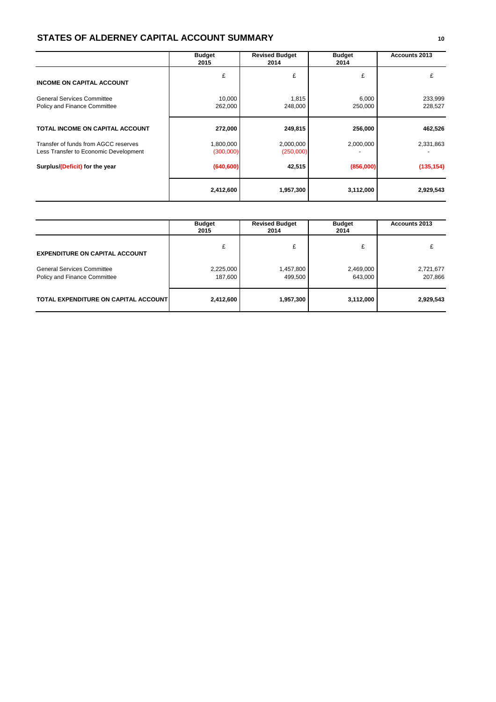#### **STATES OF ALDERNEY CAPITAL ACCOUNT SUMMARY <sup>10</sup>**

|                                                                               | <b>Budget</b><br>2015  | <b>Revised Budget</b><br>2014 | <b>Budget</b><br>2014 | <b>Accounts 2013</b> |
|-------------------------------------------------------------------------------|------------------------|-------------------------------|-----------------------|----------------------|
| <b>INCOME ON CAPITAL ACCOUNT</b>                                              | £                      | £                             | £                     | £                    |
| <b>General Services Committee</b><br>Policy and Finance Committee             | 10,000<br>262,000      | 1,815<br>248,000              | 6,000<br>250,000      | 233,999<br>228,527   |
| TOTAL INCOME ON CAPITAL ACCOUNT                                               | 272,000                | 249,815                       | 256,000               | 462,526              |
| Transfer of funds from AGCC reserves<br>Less Transfer to Economic Development | 1,800,000<br>(300,000) | 2,000,000<br>(250,000)        | 2,000,000             | 2,331,863            |
| Surplus/(Deficit) for the year                                                | (640, 600)             | 42,515                        | (856,000)             | (135, 154)           |
|                                                                               | 2,412,600              | 1,957,300                     | 3,112,000             | 2,929,543            |

|                                                                   | <b>Budget</b><br>2015 | <b>Revised Budget</b><br>2014 | <b>Budget</b><br>2014 | Accounts 2013        |
|-------------------------------------------------------------------|-----------------------|-------------------------------|-----------------------|----------------------|
| <b>EXPENDITURE ON CAPITAL ACCOUNT</b>                             | £                     | £                             | £                     |                      |
| <b>General Services Committee</b><br>Policy and Finance Committee | 2,225,000<br>187,600  | 1,457,800<br>499,500          | 2,469,000<br>643,000  | 2,721,677<br>207,866 |
| TOTAL EXPENDITURE ON CAPITAL ACCOUNT                              | 2,412,600             | 1,957,300                     | 3,112,000             | 2,929,543            |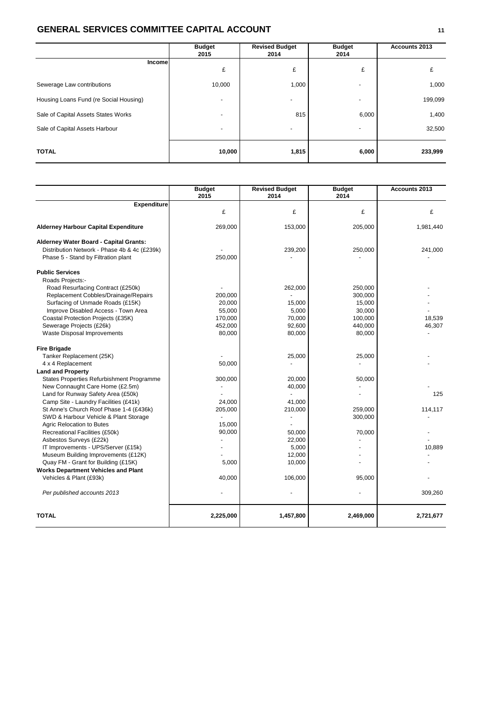### **GENERAL SERVICES COMMITTEE CAPITAL ACCOUNT <sup>11</sup>**

|                                        | <b>Budget</b><br>2015    | <b>Revised Budget</b><br>2014 | <b>Budget</b><br>2014    | Accounts 2013 |
|----------------------------------------|--------------------------|-------------------------------|--------------------------|---------------|
| Incomel                                | £                        | £                             | £                        | £             |
| Sewerage Law contributions             | 10,000                   | 1,000                         | -                        | 1,000         |
| Housing Loans Fund (re Social Housing) | $\overline{\phantom{a}}$ | $\overline{\phantom{a}}$      | $\overline{\phantom{0}}$ | 199,099       |
| Sale of Capital Assets States Works    |                          | 815                           | 6,000                    | 1,400         |
| Sale of Capital Assets Harbour         |                          | $\overline{\phantom{a}}$      | -                        | 32,500        |
| <b>TOTAL</b>                           | 10,000                   | 1,815                         | 6,000                    | 233,999       |

|                                              | <b>Budget</b><br>2015 | <b>Revised Budget</b><br>2014 | <b>Budget</b><br>2014 | Accounts 2013 |
|----------------------------------------------|-----------------------|-------------------------------|-----------------------|---------------|
| <b>Expenditure</b>                           |                       |                               |                       |               |
|                                              | £                     | £                             | £                     | £             |
| <b>Alderney Harbour Capital Expenditure</b>  | 269,000               | 153,000                       | 205,000               | 1,981,440     |
| Alderney Water Board - Capital Grants:       |                       |                               |                       |               |
| Distribution Network - Phase 4b & 4c (£239k) |                       | 239,200                       | 250,000               | 241,000       |
| Phase 5 - Stand by Filtration plant          | 250,000               |                               |                       |               |
| <b>Public Services</b>                       |                       |                               |                       |               |
| Roads Projects:-                             |                       |                               |                       |               |
| Road Resurfacing Contract (£250k)            |                       | 262,000                       | 250,000               |               |
| Replacement Cobbles/Drainage/Repairs         | 200,000               |                               | 300,000               |               |
| Surfacing of Unmade Roads (£15K)             | 20.000                | 15,000                        | 15,000                |               |
| Improve Disabled Access - Town Area          | 55,000                | 5,000                         | 30,000                |               |
| Coastal Protection Projects (£35K)           | 170,000               | 70,000                        | 100,000               | 18,539        |
| Sewerage Projects (£26k)                     | 452,000               | 92,600                        | 440,000               | 46,307        |
| Waste Disposal Improvements                  | 80,000                | 80,000                        | 80,000                |               |
| <b>Fire Brigade</b>                          |                       |                               |                       |               |
| Tanker Replacement (25K)                     |                       | 25,000                        | 25,000                |               |
| 4 x 4 Replacement                            | 50,000                |                               |                       |               |
| <b>Land and Property</b>                     |                       |                               |                       |               |
| States Properties Refurbishment Programme    | 300,000               | 20,000                        | 50,000                |               |
| New Connaught Care Home (£2.5m)              |                       | 40,000                        |                       |               |
| Land for Runway Safety Area (£50k)           |                       |                               |                       | 125           |
| Camp Site - Laundry Facilities (£41k)        | 24,000                | 41,000                        |                       |               |
| St Anne's Church Roof Phase 1-4 (£436k)      | 205,000               | 210,000                       | 259,000               | 114,117       |
| SWD & Harbour Vehicle & Plant Storage        |                       |                               | 300,000               |               |
| Agric Relocation to Butes                    | 15,000                |                               |                       |               |
| Recreational Facilities (£50k)               | 90,000                | 50,000                        | 70,000                |               |
| Asbestos Surveys (£22k)                      |                       | 22,000                        |                       |               |
| IT Improvements - UPS/Server (£15k)          |                       | 5,000                         |                       | 10,889        |
| Museum Building Improvements (£12K)          |                       | 12,000                        |                       |               |
| Quay FM - Grant for Building (£15K)          | 5,000                 | 10,000                        |                       |               |
| <b>Works Department Vehicles and Plant</b>   |                       |                               |                       |               |
| Vehicles & Plant (£93k)                      | 40,000                | 106,000                       | 95,000                |               |
| Per published accounts 2013                  |                       |                               |                       | 309,260       |
| <b>TOTAL</b>                                 | 2,225,000             | 1,457,800                     | 2,469,000             | 2,721,677     |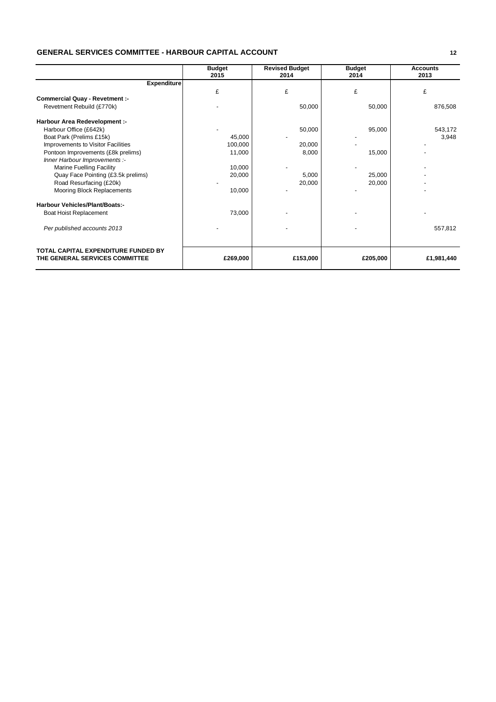#### **GENERAL SERVICES COMMITTEE - HARBOUR CAPITAL ACCOUNT 12**

|                                                                       | <b>Budget</b><br>2015 | <b>Revised Budget</b><br>2014 | <b>Budget</b><br>2014 | <b>Accounts</b><br>2013 |
|-----------------------------------------------------------------------|-----------------------|-------------------------------|-----------------------|-------------------------|
| <b>Expenditure</b>                                                    |                       |                               |                       |                         |
|                                                                       | £                     | £                             | £                     | £                       |
| <b>Commercial Quay - Revetment :-</b>                                 |                       |                               |                       |                         |
| Revetment Rebuild (£770k)                                             |                       | 50,000                        | 50,000                | 876,508                 |
| Harbour Area Redevelopment :-                                         |                       |                               |                       |                         |
| Harbour Office (£642k)                                                |                       | 50,000                        | 95,000                | 543,172                 |
| Boat Park (Prelims £15k)                                              | 45,000                |                               |                       | 3,948                   |
| Improvements to Visitor Facilities                                    | 100,000               | 20,000                        |                       |                         |
| Pontoon Improvements (£8k prelims)                                    | 11,000                | 8,000                         | 15,000                |                         |
| Inner Harbour Improvements :-                                         |                       |                               |                       |                         |
| <b>Marine Fuelling Facility</b>                                       | 10,000                |                               |                       |                         |
| Quay Face Pointing (£3.5k prelims)                                    | 20,000                | 5,000                         | 25,000                |                         |
| Road Resurfacing (£20k)                                               |                       | 20,000                        | 20,000                |                         |
| Mooring Block Replacements                                            | 10,000                |                               |                       |                         |
| <b>Harbour Vehicles/Plant/Boats:-</b>                                 |                       |                               |                       |                         |
| Boat Hoist Replacement                                                | 73,000                |                               |                       |                         |
| Per published accounts 2013                                           |                       |                               |                       | 557,812                 |
| TOTAL CAPITAL EXPENDITURE FUNDED BY<br>THE GENERAL SERVICES COMMITTEE | £269,000              | £153,000                      | £205,000              | £1,981,440              |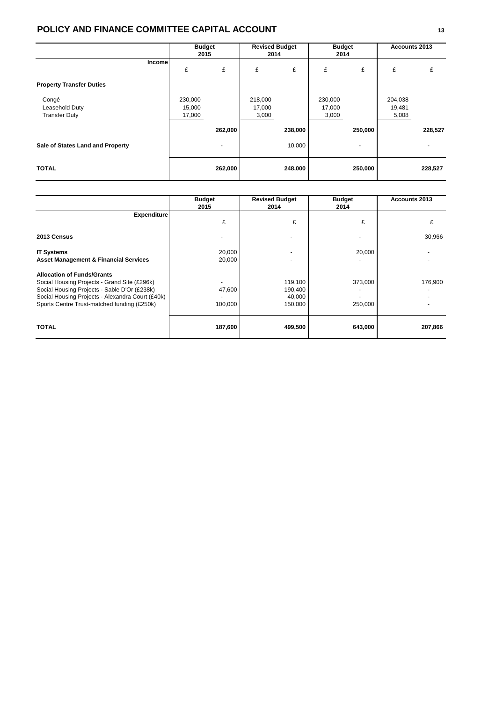### **POLICY AND FINANCE COMMITTEE CAPITAL ACCOUNT <sup>13</sup>**

|                                                 | <b>Budget</b><br>2015       |         | <b>Revised Budget</b><br>2014 |                   | <b>Budget</b><br>2014      |                                     | Accounts 2013              |         |
|-------------------------------------------------|-----------------------------|---------|-------------------------------|-------------------|----------------------------|-------------------------------------|----------------------------|---------|
| Income                                          | £                           | £       | £                             | £                 | £                          | £                                   | £                          | £       |
| <b>Property Transfer Duties</b>                 |                             |         |                               |                   |                            |                                     |                            |         |
| Congé<br>Leasehold Duty<br><b>Transfer Duty</b> | 230,000<br>15,000<br>17,000 |         | 218,000<br>17,000<br>3,000    |                   | 230,000<br>17,000<br>3,000 |                                     | 204,038<br>19,481<br>5,008 |         |
| Sale of States Land and Property                |                             | 262,000 |                               | 238,000<br>10,000 |                            | 250,000<br>$\overline{\phantom{0}}$ |                            | 228,527 |
| <b>TOTAL</b>                                    |                             | 262,000 |                               | 248,000           |                            | 250,000                             |                            | 228,527 |

|                                                                                                                                                                                                                                      | <b>Budget</b><br>2015 | <b>Revised Budget</b><br>2014           | <b>Budget</b><br>2014 | <b>Accounts 2013</b> |
|--------------------------------------------------------------------------------------------------------------------------------------------------------------------------------------------------------------------------------------|-----------------------|-----------------------------------------|-----------------------|----------------------|
| <b>Expenditure</b>                                                                                                                                                                                                                   | £                     | £                                       | £                     |                      |
| 2013 Census                                                                                                                                                                                                                          |                       |                                         |                       | 30,966               |
| <b>IT Systems</b><br><b>Asset Management &amp; Financial Services</b>                                                                                                                                                                | 20,000<br>20,000      |                                         | 20,000                |                      |
| <b>Allocation of Funds/Grants</b><br>Social Housing Projects - Grand Site (£296k)<br>Social Housing Projects - Sable D'Or (£238k)<br>Social Housing Projects - Alexandra Court (£40k)<br>Sports Centre Trust-matched funding (£250k) | 47,600<br>100,000     | 119,100<br>190,400<br>40,000<br>150,000 | 373,000<br>250,000    | 176,900              |
| <b>TOTAL</b>                                                                                                                                                                                                                         | 187,600               | 499,500                                 | 643,000               | 207,866              |